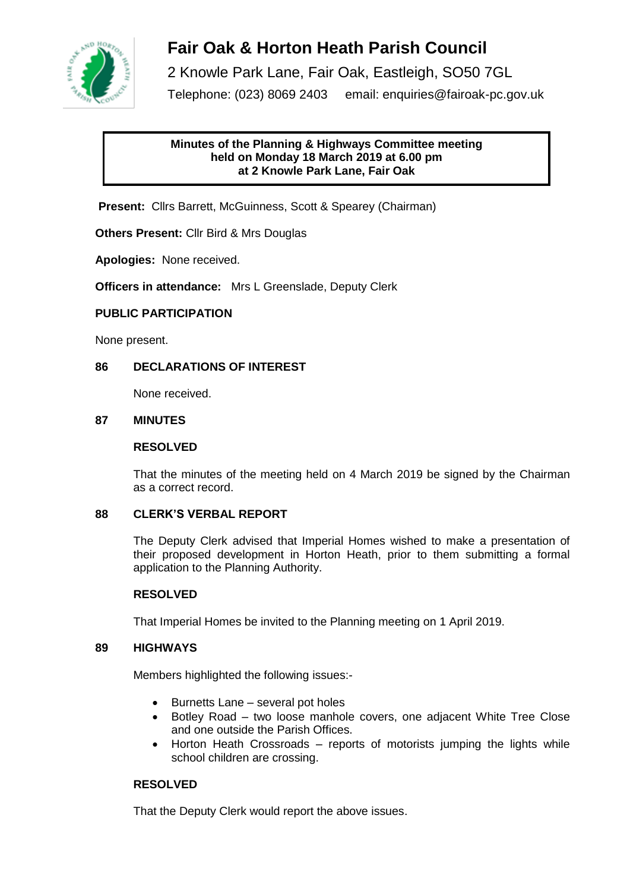

# **Fair Oak & Horton Heath Parish Council**

2 Knowle Park Lane, Fair Oak, Eastleigh, SO50 7GL Telephone: (023) 8069 2403 email: enquiries@fairoak-pc.gov.uk

## **Minutes of the Planning & Highways Committee meeting held on Monday 18 March 2019 at 6.00 pm at 2 Knowle Park Lane, Fair Oak**

**Present:** Cllrs Barrett, McGuinness, Scott & Spearey (Chairman)

**Others Present:** Cllr Bird & Mrs Douglas

**Apologies:** None received.

**Officers in attendance:** Mrs L Greenslade, Deputy Clerk

## **PUBLIC PARTICIPATION**

None present.

## **86 DECLARATIONS OF INTEREST**

None received.

## **87 MINUTES**

## **RESOLVED**

That the minutes of the meeting held on 4 March 2019 be signed by the Chairman as a correct record.

## **88 CLERK'S VERBAL REPORT**

The Deputy Clerk advised that Imperial Homes wished to make a presentation of their proposed development in Horton Heath, prior to them submitting a formal application to the Planning Authority.

## **RESOLVED**

That Imperial Homes be invited to the Planning meeting on 1 April 2019.

### **89 HIGHWAYS**

Members highlighted the following issues:-

- Burnetts Lane several pot holes
- Botley Road two loose manhole covers, one adjacent White Tree Close and one outside the Parish Offices.
- Horton Heath Crossroads reports of motorists jumping the lights while school children are crossing.

## **RESOLVED**

That the Deputy Clerk would report the above issues.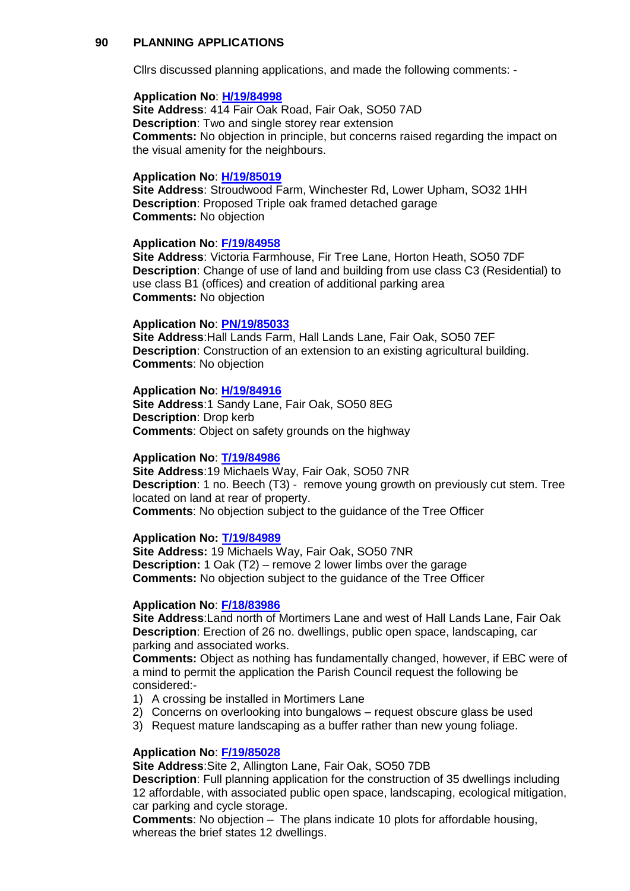#### **90 PLANNING APPLICATIONS**

Cllrs discussed planning applications, and made the following comments: -

#### **Application No**: **[H/19/84998](https://planning.eastleigh.gov.uk/s/papplication/a1M1v0000064aFS)**

**Site Address**: 414 Fair Oak Road, Fair Oak, SO50 7AD **Description**: Two and single storey rear extension **Comments:** No objection in principle, but concerns raised regarding the impact on the visual amenity for the neighbours.

#### **Application No**: **[H/19/85019](https://planning.eastleigh.gov.uk/s/papplication/a1M1v0000064fVo)**

**Site Address**: Stroudwood Farm, Winchester Rd, Lower Upham, SO32 1HH **Description**: Proposed Triple oak framed detached garage **Comments:** No objection

#### **Application No**: **[F/19/84958](https://planning.eastleigh.gov.uk/s/papplication/a1M1v000005rhVX)**

**Site Address**: Victoria Farmhouse, Fir Tree Lane, Horton Heath, SO50 7DF **Description**: Change of use of land and building from use class C3 (Residential) to use class B1 (offices) and creation of additional parking area **Comments:** No objection

#### **Application No**: **[PN/19/85033](https://planning.eastleigh.gov.uk/s/papplication/a1M1v0000064fsc)**

**Site Address**:Hall Lands Farm, Hall Lands Lane, Fair Oak, SO50 7EF **Description**: Construction of an extension to an existing agricultural building. **Comments**: No objection

#### **Application No**: **[H/19/84916](https://planning.eastleigh.gov.uk/s/papplication/a1M1v000005rglk)**

**Site Address**:1 Sandy Lane, Fair Oak, SO50 8EG **Description**: Drop kerb **Comments**: Object on safety grounds on the highway

### **Application No**: **[T/19/84986](https://planning.eastleigh.gov.uk/s/papplication/a1M1v0000064Zh7)**

**Site Address**:19 Michaels Way, Fair Oak, SO50 7NR **Description**: 1 no. Beech (T3) - remove young growth on previously cut stem. Tree located on land at rear of property. **Comments**: No objection subject to the guidance of the Tree Officer

## **Application No: [T/19/84989](https://planning.eastleigh.gov.uk/s/papplication/a1M1v0000064Zln)**

**Site Address:** 19 Michaels Way, Fair Oak, SO50 7NR **Description:** 1 Oak (T2) – remove 2 lower limbs over the garage **Comments:** No objection subject to the guidance of the Tree Officer

#### **Application No**: **[F/18/83986](https://planning.eastleigh.gov.uk/s/papplication/a1M1v00000416ax)**

**Site Address**:Land north of Mortimers Lane and west of Hall Lands Lane, Fair Oak **Description**: Erection of 26 no. dwellings, public open space, landscaping, car parking and associated works.

**Comments:** Object as nothing has fundamentally changed, however, if EBC were of a mind to permit the application the Parish Council request the following be considered:-

- 1) A crossing be installed in Mortimers Lane
- 2) Concerns on overlooking into bungalows request obscure glass be used
- 3) Request mature landscaping as a buffer rather than new young foliage.

#### **Application No**: **[F/19/85028](https://planning.eastleigh.gov.uk/s/papplication/a1M1v0000064fYO)**

**Site Address**:Site 2, Allington Lane, Fair Oak, SO50 7DB

**Description**: Full planning application for the construction of 35 dwellings including 12 affordable, with associated public open space, landscaping, ecological mitigation, car parking and cycle storage.

**Comments**: No objection – The plans indicate 10 plots for affordable housing, whereas the brief states 12 dwellings.